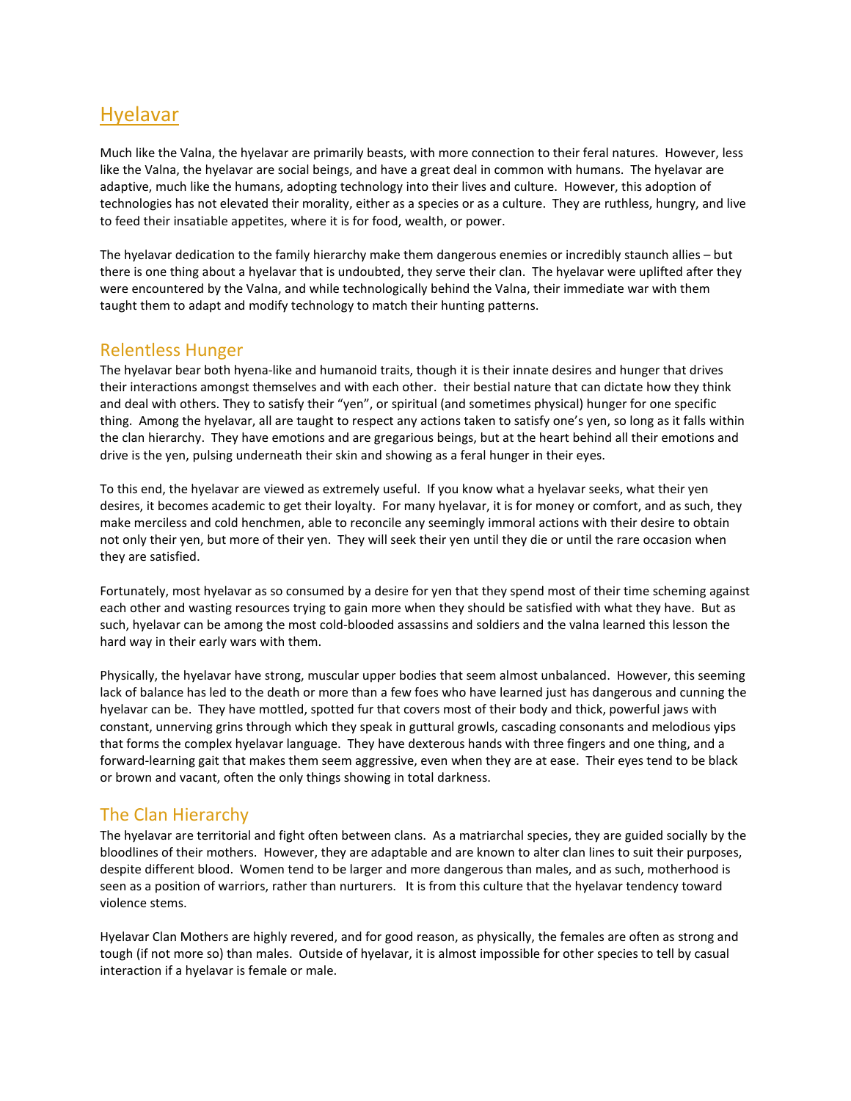# Hyelavar

Much like the Valna, the hyelavar are primarily beasts, with more connection to their feral natures. However, less like the Valna, the hyelavar are social beings, and have a great deal in common with humans. The hyelavar are adaptive, much like the humans, adopting technology into their lives and culture. However, this adoption of technologies has not elevated their morality, either as a species or as a culture. They are ruthless, hungry, and live to feed their insatiable appetites, where it is for food, wealth, or power.

The hyelavar dedication to the family hierarchy make them dangerous enemies or incredibly staunch allies – but there is one thing about a hyelavar that is undoubted, they serve their clan. The hyelavar were uplifted after they were encountered by the Valna, and while technologically behind the Valna, their immediate war with them taught them to adapt and modify technology to match their hunting patterns.

### Relentless Hunger

The hyelavar bear both hyena-like and humanoid traits, though it is their innate desires and hunger that drives their interactions amongst themselves and with each other. their bestial nature that can dictate how they think and deal with others. They to satisfy their "yen", or spiritual (and sometimes physical) hunger for one specific thing. Among the hyelavar, all are taught to respect any actions taken to satisfy one's yen, so long as it falls within the clan hierarchy. They have emotions and are gregarious beings, but at the heart behind all their emotions and drive is the yen, pulsing underneath their skin and showing as a feral hunger in their eyes.

To this end, the hyelavar are viewed as extremely useful. If you know what a hyelavar seeks, what their yen desires, it becomes academic to get their loyalty. For many hyelavar, it is for money or comfort, and as such, they make merciless and cold henchmen, able to reconcile any seemingly immoral actions with their desire to obtain not only their yen, but more of their yen. They will seek their yen until they die or until the rare occasion when they are satisfied.

Fortunately, most hyelavar as so consumed by a desire for yen that they spend most of their time scheming against each other and wasting resources trying to gain more when they should be satisfied with what they have. But as such, hyelavar can be among the most cold-blooded assassins and soldiers and the valna learned this lesson the hard way in their early wars with them.

Physically, the hyelavar have strong, muscular upper bodies that seem almost unbalanced. However, this seeming lack of balance has led to the death or more than a few foes who have learned just has dangerous and cunning the hyelavar can be. They have mottled, spotted fur that covers most of their body and thick, powerful jaws with constant, unnerving grins through which they speak in guttural growls, cascading consonants and melodious yips that forms the complex hyelavar language. They have dexterous hands with three fingers and one thing, and a forward-learning gait that makes them seem aggressive, even when they are at ease. Their eyes tend to be black or brown and vacant, often the only things showing in total darkness.

## The Clan Hierarchy

The hyelavar are territorial and fight often between clans. As a matriarchal species, they are guided socially by the bloodlines of their mothers. However, they are adaptable and are known to alter clan lines to suit their purposes, despite different blood. Women tend to be larger and more dangerous than males, and as such, motherhood is seen as a position of warriors, rather than nurturers. It is from this culture that the hyelavar tendency toward violence stems.

Hyelavar Clan Mothers are highly revered, and for good reason, as physically, the females are often as strong and tough (if not more so) than males. Outside of hyelavar, it is almost impossible for other species to tell by casual interaction if a hyelavar is female or male.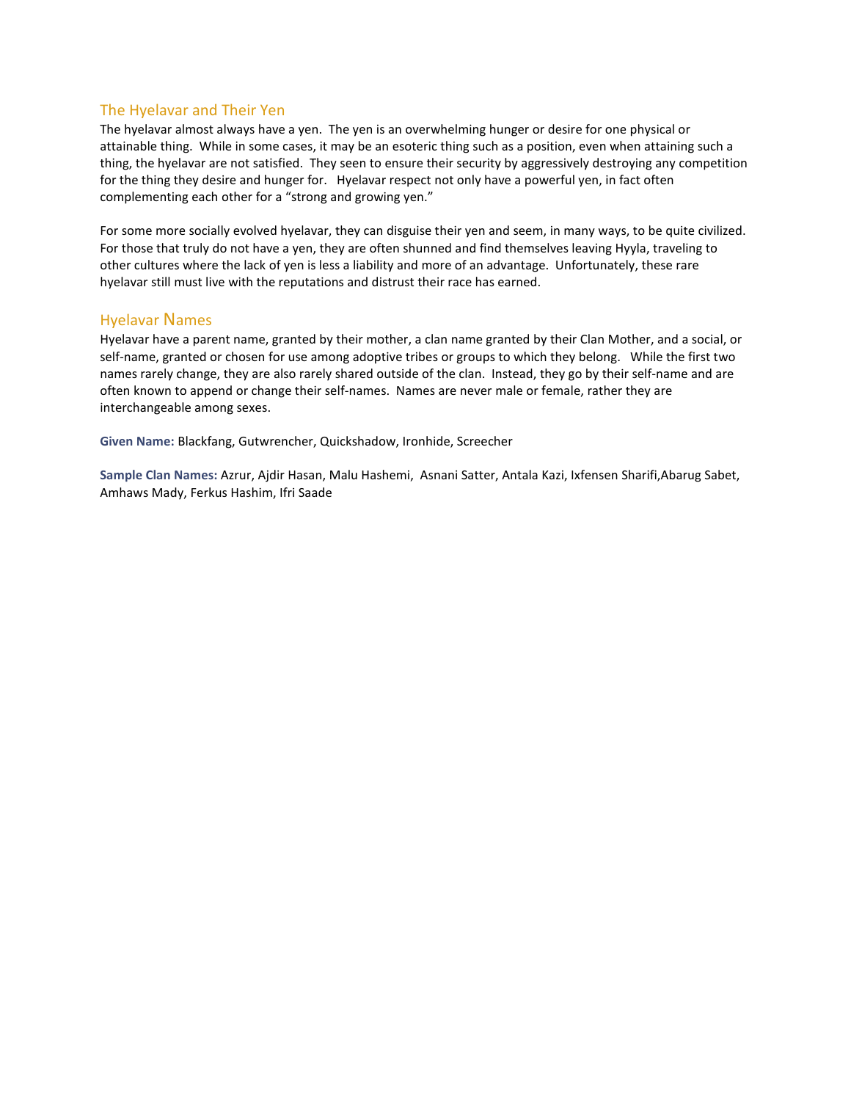#### The Hyelavar and Their Yen

The hyelavar almost always have a yen. The yen is an overwhelming hunger or desire for one physical or attainable thing. While in some cases, it may be an esoteric thing such as a position, even when attaining such a thing, the hyelavar are not satisfied. They seen to ensure their security by aggressively destroying any competition for the thing they desire and hunger for. Hyelavar respect not only have a powerful yen, in fact often complementing each other for a "strong and growing yen."

For some more socially evolved hyelavar, they can disguise their yen and seem, in many ways, to be quite civilized. For those that truly do not have a yen, they are often shunned and find themselves leaving Hyyla, traveling to other cultures where the lack of yen is less a liability and more of an advantage. Unfortunately, these rare hyelavar still must live with the reputations and distrust their race has earned.

#### Hyelavar Names

Hyelavar have a parent name, granted by their mother, a clan name granted by their Clan Mother, and a social, or self-name, granted or chosen for use among adoptive tribes or groups to which they belong. While the first two names rarely change, they are also rarely shared outside of the clan. Instead, they go by their self-name and are often known to append or change their self-names. Names are never male or female, rather they are interchangeable among sexes.

Given Name: Blackfang, Gutwrencher, Quickshadow, Ironhide, Screecher

Sample Clan Names: Azrur, Ajdir Hasan, Malu Hashemi, Asnani Satter, Antala Kazi, Ixfensen Sharifi,Abarug Sabet, Amhaws Mady, Ferkus Hashim, Ifri Saade